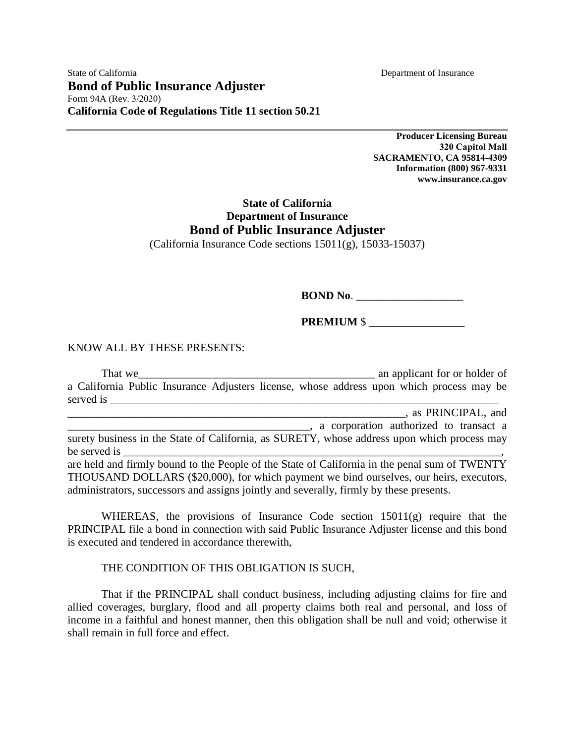**Producer Licensing Bureau 320 Capitol Mall SACRAMENTO, CA 95814-4309 Information (800) 967-9331 www.insurance.ca.gov** 

## **State of California Department of Insurance Bond of Public Insurance Adjuster**

(California Insurance Code sections 15011(g), 15033-15037)

**BOND No.** 

**PREMIUM** \$ \_\_\_\_\_\_\_\_\_\_\_\_\_\_\_\_\_

## KNOW ALL BY THESE PRESENTS:

That we can consider the same series of the same series and applicant for or holder of a California Public Insurance Adjusters license, whose address upon which process may be served is \_\_\_\_\_\_\_\_\_\_\_\_\_\_\_\_\_\_\_\_\_\_\_\_\_\_\_\_\_\_\_\_\_\_\_\_\_\_\_\_\_\_\_\_\_\_\_\_\_\_\_\_\_\_\_\_\_\_\_\_\_\_\_\_\_\_\_\_\_ \_\_\_\_\_\_\_\_\_\_\_\_\_\_\_\_\_\_\_\_\_\_\_\_\_\_\_\_\_\_\_\_\_\_\_\_\_\_\_\_\_\_\_\_\_\_\_\_\_\_\_\_\_\_\_\_\_\_\_\_, as PRINCIPAL, and \_\_\_\_\_\_\_\_\_\_\_\_\_\_\_\_\_\_\_\_\_\_\_\_\_\_\_\_\_\_\_\_\_\_\_\_\_\_\_\_\_\_\_, a corporation authorized to transact a surety business in the State of California, as SURETY, whose address upon which process may be served is are held and firmly bound to the People of the State of California in the penal sum of TWENTY THOUSAND DOLLARS (\$20,000), for which payment we bind ourselves, our heirs, executors, administrators, successors and assigns jointly and severally, firmly by these presents.

WHEREAS, the provisions of Insurance Code section 15011(g) require that the PRINCIPAL file a bond in connection with said Public Insurance Adjuster license and this bond is executed and tendered in accordance therewith,

## THE CONDITION OF THIS OBLIGATION IS SUCH,

That if the PRINCIPAL shall conduct business, including adjusting claims for fire and allied coverages, burglary, flood and all property claims both real and personal, and loss of income in a faithful and honest manner, then this obligation shall be null and void; otherwise it shall remain in full force and effect.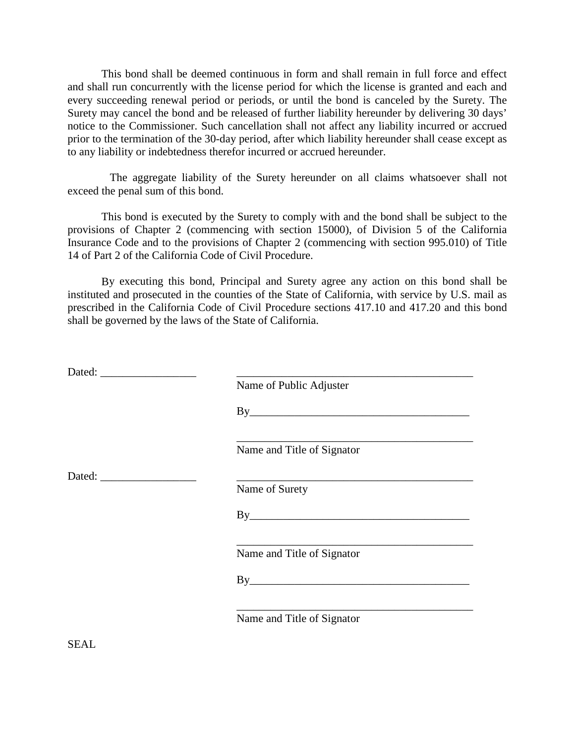This bond shall be deemed continuous in form and shall remain in full force and effect and shall run concurrently with the license period for which the license is granted and each and every succeeding renewal period or periods, or until the bond is canceled by the Surety. The Surety may cancel the bond and be released of further liability hereunder by delivering 30 days' notice to the Commissioner. Such cancellation shall not affect any liability incurred or accrued prior to the termination of the 30-day period, after which liability hereunder shall cease except as to any liability or indebtedness therefor incurred or accrued hereunder.

The aggregate liability of the Surety hereunder on all claims whatsoever shall not exceed the penal sum of this bond.

This bond is executed by the Surety to comply with and the bond shall be subject to the provisions of Chapter 2 (commencing with section 15000), of Division 5 of the California Insurance Code and to the provisions of Chapter 2 (commencing with section 995.010) of Title 14 of Part 2 of the California Code of Civil Procedure.

By executing this bond, Principal and Surety agree any action on this bond shall be instituted and prosecuted in the counties of the State of California, with service by U.S. mail as prescribed in the California Code of Civil Procedure sections 417.10 and 417.20 and this bond shall be governed by the laws of the State of California.

|  | Name of Public Adjuster    |
|--|----------------------------|
|  | By                         |
|  | Name and Title of Signator |
|  |                            |
|  | Name of Surety             |
|  |                            |
|  | Name and Title of Signator |
|  |                            |
|  | Name and Title of Signator |